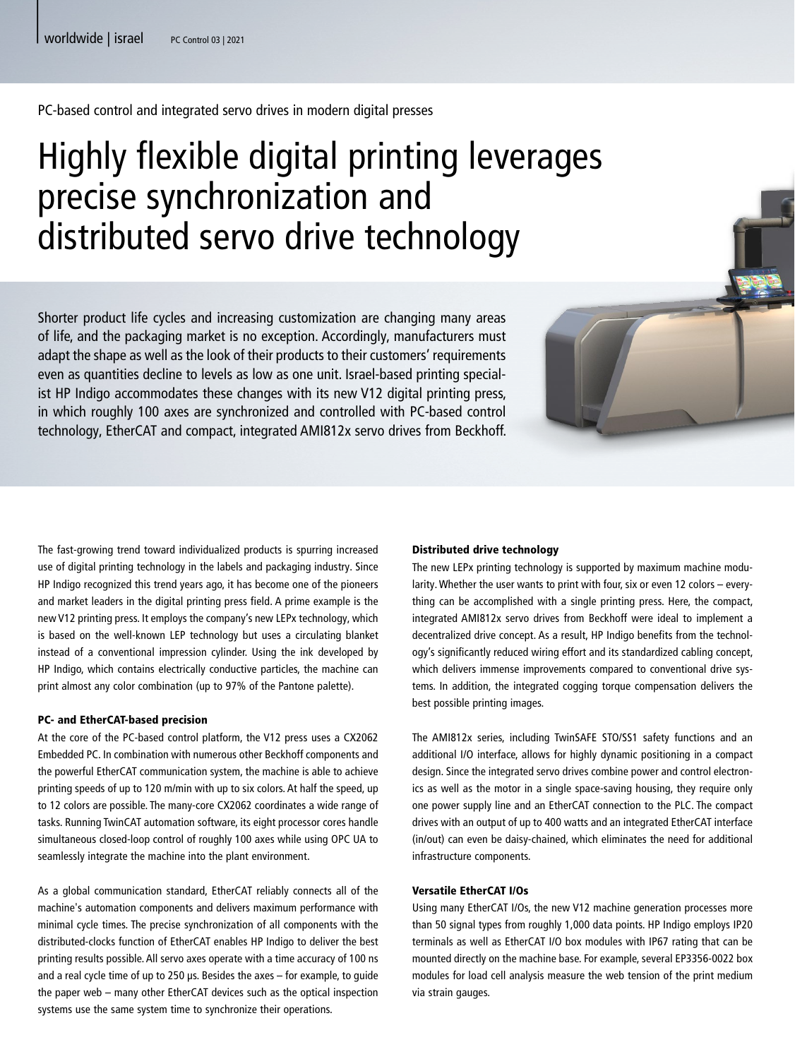PC-based control and integrated servo drives in modern digital presses

# Highly flexible digital printing leverages precise synchronization and distributed servo drive technology

Shorter product life cycles and increasing customization are changing many areas of life, and the packaging market is no exception. Accordingly, manufacturers must adapt the shape as well as the look of their products to their customers' requirements even as quantities decline to levels as low as one unit. Israel-based printing specialist HP Indigo accommodates these changes with its new V12 digital printing press, in which roughly 100 axes are synchronized and controlled with PC-based control technology, EtherCAT and compact, integrated AMI812x servo drives from Beckhoff.

The fast-growing trend toward individualized products is spurring increased use of digital printing technology in the labels and packaging industry. Since HP Indigo recognized this trend years ago, it has become one of the pioneers and market leaders in the digital printing press field. A prime example is the new V12 printing press. It employs the company's new LEPx technology, which is based on the well-known LEP technology but uses a circulating blanket instead of a conventional impression cylinder. Using the ink developed by HP Indigo, which contains electrically conductive particles, the machine can print almost any color combination (up to 97% of the Pantone palette).

## PC- and EtherCAT-based precision

At the core of the PC-based control platform, the V12 press uses a CX2062 Embedded PC. In combination with numerous other Beckhoff components and the powerful EtherCAT communication system, the machine is able to achieve printing speeds of up to 120 m/min with up to six colors. At half the speed, up to 12 colors are possible. The many-core CX2062 coordinates a wide range of tasks. Running TwinCAT automation software, its eight processor cores handle simultaneous closed-loop control of roughly 100 axes while using OPC UA to seamlessly integrate the machine into the plant environment.

As a global communication standard, EtherCAT reliably connects all of the machine's automation components and delivers maximum performance with minimal cycle times. The precise synchronization of all components with the distributed-clocks function of EtherCAT enables HP Indigo to deliver the best printing results possible. All servo axes operate with a time accuracy of 100 ns and a real cycle time of up to 250 µs. Besides the axes – for example, to guide the paper web – many other EtherCAT devices such as the optical inspection systems use the same system time to synchronize their operations.

## Distributed drive technology

The new LEPx printing technology is supported by maximum machine modularity. Whether the user wants to print with four, six or even 12 colors – everything can be accomplished with a single printing press. Here, the compact, integrated AMI812x servo drives from Beckhoff were ideal to implement a decentralized drive concept. As a result, HP Indigo benefits from the technology's significantly reduced wiring effort and its standardized cabling concept, which delivers immense improvements compared to conventional drive systems. In addition, the integrated cogging torque compensation delivers the best possible printing images.

The AMI812x series, including TwinSAFE STO/SS1 safety functions and an additional I/O interface, allows for highly dynamic positioning in a compact design. Since the integrated servo drives combine power and control electronics as well as the motor in a single space-saving housing, they require only one power supply line and an EtherCAT connection to the PLC. The compact drives with an output of up to 400 watts and an integrated EtherCAT interface (in/out) can even be daisy-chained, which eliminates the need for additional infrastructure components.

# Versatile EtherCAT I/Os

Using many EtherCAT I/Os, the new V12 machine generation processes more than 50 signal types from roughly 1,000 data points. HP Indigo employs IP20 terminals as well as EtherCAT I/O box modules with IP67 rating that can be mounted directly on the machine base. For example, several EP3356-0022 box modules for load cell analysis measure the web tension of the print medium via strain gauges.